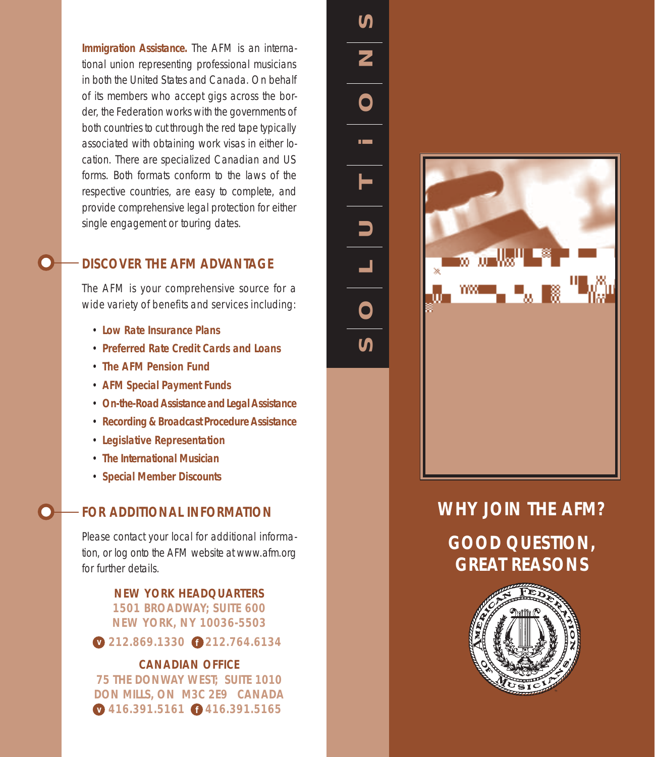**Immigration Assistance.** The AFM is an *international* union representing professional musicians in both the United States and Canada. On behalf of its members who accept gigs across the border, the Federation works with the governments of both countries to cut through the red tape typically associated with obtaining work visas in either location. There are specialized Canadian and US forms. Both formats conform to the laws of the respective countries, are easy to complete, and provide comprehensive legal protection for either single engagement or touring dates.

# **DISCOVER THE AFM ADVANTAGE**

The AFM is your comprehensive source for a wide variety of benefits and services including:

- **Low Rate Insurance Plans**
- **Preferred Rate Credit Cards and Loans**
- **The AFM Pension Fund**
- **AFM Special Payment Funds**
- **On-the-Road Assistance and Legal Assistance**
- **Recording & Broadcast Procedure Assistance**
- **Legislative Representation**
- **The** *International Musician*
- **Special Member Discounts**

### **FOR ADDITIONAL INFORMATION**

Please contact your local for additional information, or log onto the AFM website at www.afm.org for further details.

> **NEW YORK HEADQUARTERS 1501 BROADWAY; SUITE 600 NEW YORK, NY 10036-5503**

**v** 212.869.1330 **f** 212.764.6134

#### **CANADIAN OFFICE**

**75 THE DONWAY WEST; SUITE 1010 DON MILLS, ON M3C 2E9 CANADA v** 416.391.5161 **f** 416.391.5165

**S O L U T i O N S** ၯ Z  $\bigcap$  $\overline{\mathsf{C}}$ 



# **WHY JOIN THE AFM?**

**GOOD QUESTION, GREAT REASONS**

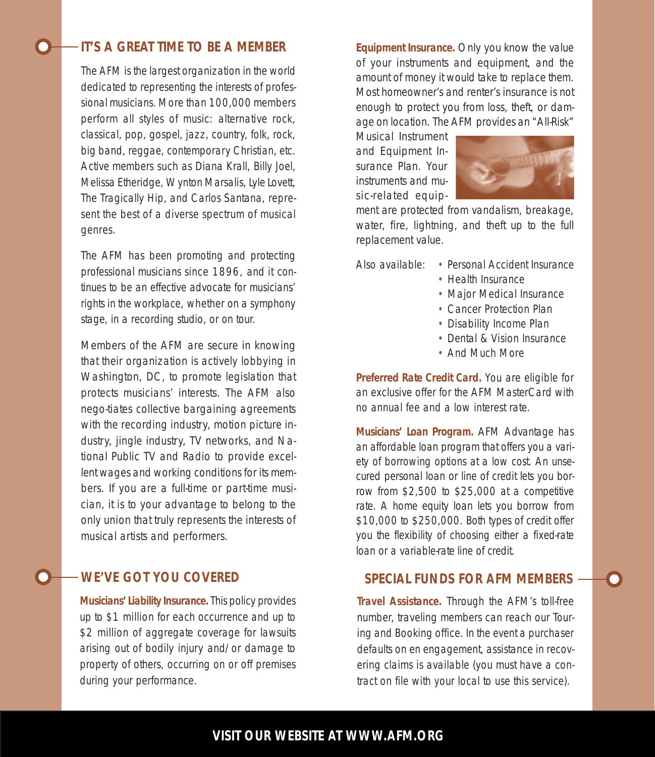## **IT'S A GREAT TIME TO BE A MEMBER**

The AFM is the largest organization in the world dedicated to representing the interests of professional musicians. More than 100,000 members perform all styles of music: alternative rock, classical, pop, gospel, jazz, country, folk, rock, big band, reggae, contemporary Christian, etc. Active members such as Diana Krall, Billy Joel, Melissa Etheridge, Wynton Marsalis, Lyle Lovett, The Tragically Hip, and Carlos Santana, represent the best of a diverse spectrum of musical genres.

The AFM has been promoting and protecting professional musicians since 1896, and it continues to be an effective advocate for musicians' rights in the workplace, whether on a symphony stage, in a recording studio, or on tour.

Members of the AFM are secure in knowing that their organization is actively lobbying in Washington, DC, to promote legislation that protects musicians' interests. The AFM also nego-tiates collective bargaining agreements with the recording industry, motion picture industry, jingle industry, TV networks, and National Public TV and Radio to provide excellent wages and working conditions for its members. If you are a full-time or part-time musician, it is to your advantage to belong to the only union that truly represents the interests of musical artists and performers.

#### **WE'VE GOT YOU COVERED**

**Musicians' Liability Insurance.** This policy provides up to \$1 million for each occurrence and up to \$2 million of aggregate coverage for lawsuits arising out of bodily injury and/or damage to property of others, occurring on or off premises during your performance.

**Equipment Insurance.** Only you know the value of your instruments and equipment, and the amount of money it would take to replace them. Most homeowner's and renter's insurance is not enough to protect you from loss, theft, or damage on location. The AFM provides an "All-Risk"

Musical Instrument and Equipment Insurance Plan. Your instruments and music-related equip-



ment are protected from vandalism, breakage, water, fire, lightning, and theft up to the full replacement value.

Also available: • Personal Accident Insurance

- 
- Health Insurance
- Major Medical Insurance
- Cancer Protection Plan
- Disability Income Plan
- Dental & Vision Insurance
- And Much More

**Preferred Rate Credit Card.** You are eligible for an exclusive offer for the AFM MasterCard with no annual fee and a low interest rate.

**Musicians' Loan Program.** AFM Advantage has an affordable loan program that offers you a variety of borrowing options at a low cost. An unsecured personal loan or line of credit lets you borrow from \$2,500 to \$25,000 at a competitive rate. A home equity loan lets you borrow from \$10,000 to \$250,000. Both types of credit offer you the flexibility of choosing either a fixed-rate loan or a variable-rate line of credit.

#### **SPECIAL FUNDS FOR AFM MEMBERS**

**Travel Assistance.** Through the AFM's toll-free number, traveling members can reach our Touring and Booking office. In the event a purchaser defaults on en engagement, assistance in recovering claims is available (you must have a contract on file with your local to use this service).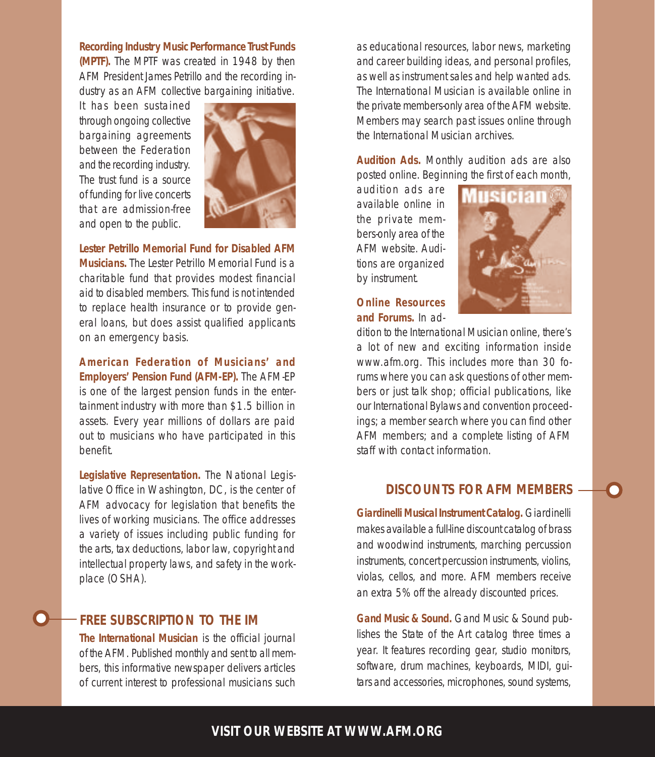**Recording Industry Music Performance Trust Funds (MPTF).** The MPTF was created in 1948 by then AFM President James Petrillo and the recording industry as an AFM collective bargaining initiative.

It has been sustained through ongoing collective bargaining agreements between the Federation and the recording industry. The trust fund is a source of funding for live concerts that are admission-free and open to the public.



**Lester Petrillo Memorial Fund for Disabled AFM Musicians.** The Lester Petrillo Memorial Fund is a charitable fund that provides modest financial aid to disabled members. This fund is not intended to replace health insurance or to provide general loans, but does assist qualified applicants on an emergency basis.

**American Federation of Musicians' and Employers' Pension Fund (AFM-EP).** The AFM-EP is one of the largest pension funds in the entertainment industry with more than \$1.5 billion in assets. Every year millions of dollars are paid out to musicians who have participated in this benefit.

**Legislative Representation.** The National Legislative Office in Washington, DC, is the center of AFM advocacy for legislation that benefits the lives of working musicians. The office addresses a variety of issues including public funding for the arts, tax deductions, labor law, copyright and intellectual property laws, and safety in the workplace (OSHA).

### **FREE SUBSCRIPTION TO THE** *IM*

**The** *International Musician* is the official journal of the AFM. Published monthly and sent to all members, this informative newspaper delivers articles of current interest to professional musicians such as educational resources, labor news, marketing and career building ideas, and personal profiles, as well as instrument sales and help wanted ads. The *International Musician* is available online in the private members-only area of the AFM website. Members may search past issues online through the *International Musician* archives.

**Audition Ads.** Monthly audition ads are also posted online*.* Beginning the first of each month,

audition ads are available online in the private members-only area of the AFM website. Auditions are organized by instrument.



**Online Resources and Forums.** In ad-

dition to the *International Musician* online, there's a lot of new and exciting information inside www.afm.org. This includes more than 30 forums where you can ask questions of other members or just talk shop; official publications, like our International Bylaws and convention proceedings; a member search where you can find other AFM members; and a complete listing of AFM staff with contact information.

#### **DISCOUNTS FOR AFM MEMBERS**

**Giardinelli Musical Instrument Catalog.** Giardinelli makes available a full-line discount catalog of brass and woodwind instruments, marching percussion instruments, concert percussion instruments, violins, violas, cellos, and more. AFM members receive an extra 5% off the already discounted prices.

**Gand Music & Sound.** Gand Music & Sound publishes the *State of the Art* catalog three times a year. It features recording gear, studio monitors, software, drum machines, keyboards, MIDI, guitars and accessories, microphones, sound systems,